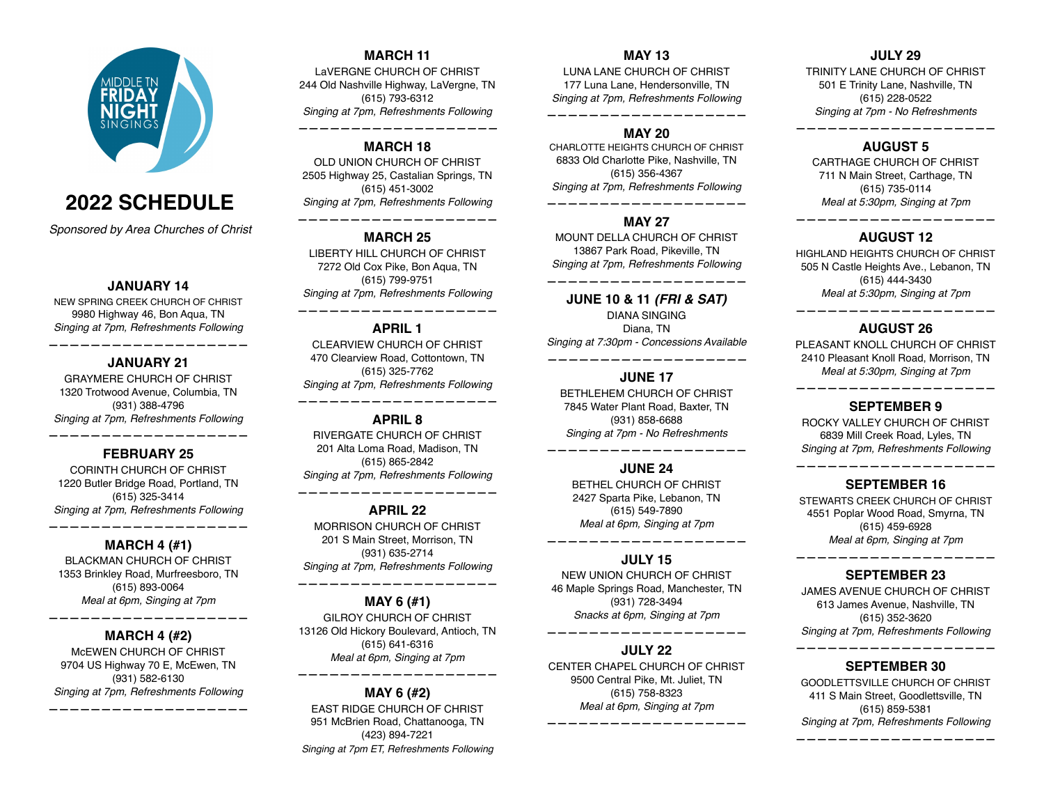

# **2022 SCHEDULE**

*Sponsored by Area Churches of Christ*

#### **JANUARY 14**

NEW SPRING CREEK CHURCH OF CHRIST 9980 Highway 46, Bon Aqua, TN *Singing at 7pm, Refreshments Following*

# **——————————————————— JANUARY 21**

GRAYMERE CHURCH OF CHRIST 1320 Trotwood Avenue, Columbia, TN (931) 388-4796 *Singing at 7pm, Refreshments Following*

# **FEBRUARY 25**

**———————————————————**

CORINTH CHURCH OF CHRIST 1220 Butler Bridge Road, Portland, TN (615) 325-3414 *Singing at 7pm, Refreshments Following*

# **——————————————————— MARCH 4 (#1)**

BLACKMAN CHURCH OF CHRIST 1353 Brinkley Road, Murfreesboro, TN (615) 893-0064 *Meal at 6pm, Singing at 7pm*

# **——————————————————— MARCH 4 (#2)**

McEWEN CHURCH OF CHRIST 9704 US Highway 70 E, McEwen, TN (931) 582-6130 *Singing at 7pm, Refreshments Following* **———————————————————**

# **MARCH 11**

LaVERGNE CHURCH OF CHRIST 244 Old Nashville Highway, LaVergne, TN (615) 793-6312 *Singing at 7pm, Refreshments Following*

# **MARCH 18**

*———————————————————*

OLD UNION CHURCH OF CHRIST 2505 Highway 25, Castalian Springs, TN (615) 451-3002 *Singing at 7pm, Refreshments Following*

## **——————————————————— MARCH 25**

LIBERTY HILL CHURCH OF CHRIST 7272 Old Cox Pike, Bon Aqua, TN (615) 799-9751 *Singing at 7pm, Refreshments Following*

# **——————————————————— APRIL 1**

CLEARVIEW CHURCH OF CHRIST 470 Clearview Road, Cottontown, TN (615) 325-7762 *Singing at 7pm, Refreshments Following*

#### **——————————————————— APRIL 8**

RIVERGATE CHURCH OF CHRIST 201 Alta Loma Road, Madison, TN (615) 865-2842 *Singing at 7pm, Refreshments Following*

# **——————————————————— APRIL 22**

MORRISON CHURCH OF CHRIST 201 S Main Street, Morrison, TN (931) 635-2714 *Singing at 7pm, Refreshments Following*

#### **MAY 6 (#1)**

**———————————————————**

GILROY CHURCH OF CHRIST 13126 Old Hickory Boulevard, Antioch, TN (615) 641-6316 *Meal at 6pm, Singing at 7pm*

# **——————————————————— MAY 6 (#2)**

EAST RIDGE CHURCH OF CHRIST 951 McBrien Road, Chattanooga, TN (423) 894-7221 *Singing at 7pm ET, Refreshments Following*

# **MAY 13**

LUNA LANE CHURCH OF CHRIST 177 Luna Lane, Hendersonville, TN *Singing at 7pm, Refreshments Following*

**———————————————————**

# **MAY 20**

CHARLOTTE HEIGHTS CHURCH OF CHRIST 6833 Old Charlotte Pike, Nashville, TN (615) 356-4367 *Singing at 7pm, Refreshments Following*

#### **MAY 27**

**———————————————————**

MOUNT DELLA CHURCH OF CHRIST 13867 Park Road, Pikeville, TN *Singing at 7pm, Refreshments Following* **———————————————————**

**JUNE 10 & 11** *(FRI & SAT)* DIANA SINGING Diana, TN *Singing at 7:30pm - Concessions Available ———————————————————*

#### **JUNE 17**

BETHLEHEM CHURCH OF CHRIST 7845 Water Plant Road, Baxter, TN (931) 858-6688 *Singing at 7pm - No Refreshments*

### **——————————————————— JUNE 24**

BETHEL CHURCH OF CHRIST 2427 Sparta Pike, Lebanon, TN (615) 549-7890 *Meal at 6pm, Singing at 7pm*

# **——————————————————— JULY 15**

NEW UNION CHURCH OF CHRIST 46 Maple Springs Road, Manchester, TN (931) 728-3494 *Snacks at 6pm, Singing at 7pm*

# **——————————————————— JULY 22**

CENTER CHAPEL CHURCH OF CHRIST 9500 Central Pike, Mt. Juliet, TN (615) 758-8323 *Meal at 6pm, Singing at 7pm*

**———————————————————**

# **JULY 29**

TRINITY LANE CHURCH OF CHRIST 501 E Trinity Lane, Nashville, TN (615) 228-0522 *Singing at 7pm - No Refreshments*

# **——————————————————— AUGUST 5**

CARTHAGE CHURCH OF CHRIST 711 N Main Street, Carthage, TN (615) 735-0114 *Meal at 5:30pm, Singing at 7pm*

# **——————————————————— AUGUST 12**

HIGHLAND HEIGHTS CHURCH OF CHRIST 505 N Castle Heights Ave., Lebanon, TN (615) 444-3430 *Meal at 5:30pm, Singing at 7pm*

# **——————————————————— AUGUST 26**

PLEASANT KNOLL CHURCH OF CHRIST 2410 Pleasant Knoll Road, Morrison, TN *Meal at 5:30pm, Singing at 7pm*

# **——————————————————— SEPTEMBER 9**

ROCKY VALLEY CHURCH OF CHRIST 6839 Mill Creek Road, Lyles, TN *Singing at 7pm, Refreshments Following*

# **——————————————————— SEPTEMBER 16**

STEWARTS CREEK CHURCH OF CHRIST 4551 Poplar Wood Road, Smyrna, TN (615) 459-6928 *Meal at 6pm, Singing at 7pm*

## **——————————————————— SEPTEMBER 23**

JAMES AVENUE CHURCH OF CHRIST 613 James Avenue, Nashville, TN (615) 352-3620 *Singing at 7pm, Refreshments Following*

#### **——————————————————— SEPTEMBER 30**

GOODLETTSVILLE CHURCH OF CHRIST 411 S Main Street, Goodlettsville, TN (615) 859-5381 *Singing at 7pm, Refreshments Following*

**———————————————————**